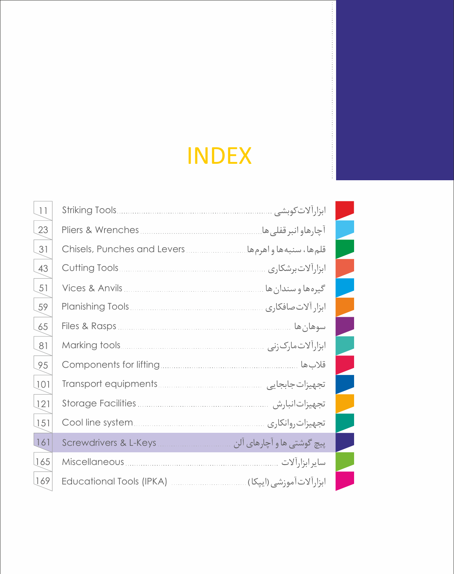# **INDEX**

|  | ابزارا لات کوبشی           |
|--|----------------------------|
|  | آچارهاو انبر قفلی ها.      |
|  | قلمها، سنبهها واهرمها.     |
|  | ابزارالات برشكاري          |
|  | گيرهها و سندان ها          |
|  | ابزار آلات صافكاري         |
|  | سوهان ها                   |
|  | ابزارآلات مارک زنی         |
|  | قلاب ها                    |
|  | تجهيزات جابجايي            |
|  | تجهيزات نبارش              |
|  | تجهيزات روانكاري           |
|  | پیچ گوشتی ها و آچارهای آلن |
|  | ساير ابزارآلات             |
|  |                            |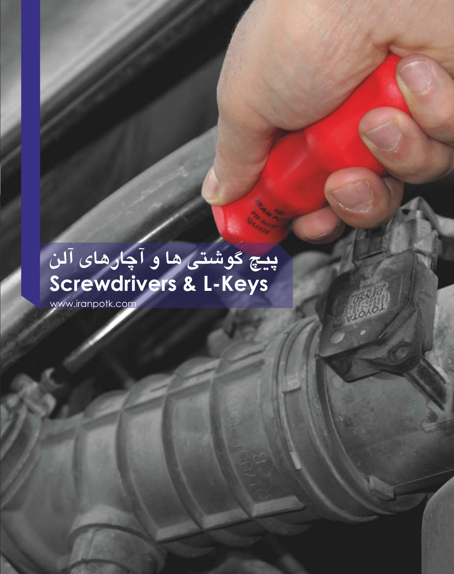## **پیچ گوشتی ها و آچارهاي آلن Screwdrivers & L-Keys**

www.iranpotk.com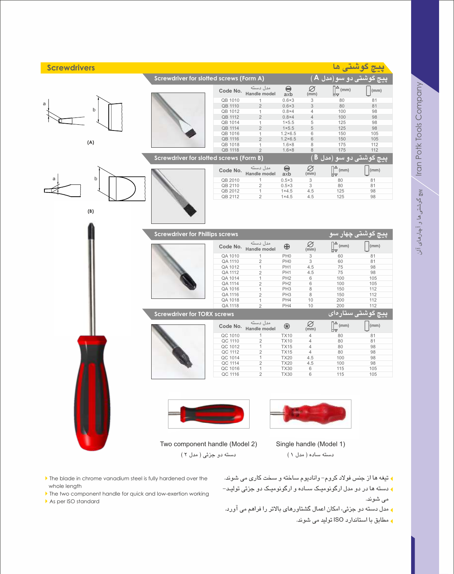| <b>Screwdrivers</b> |                                                                            |                                  |                                           |                                   | <mark>پيچ گوشتی ها</mark>                                        |                 |
|---------------------|----------------------------------------------------------------------------|----------------------------------|-------------------------------------------|-----------------------------------|------------------------------------------------------------------|-----------------|
|                     | Screwdriver for slotted screws (Form A)                                    |                                  |                                           |                                   | <del>پيچ</del> گوشت <u>ی دو سو(مدل A )</u>                       |                 |
|                     | Code No.                                                                   | مدل دسته<br>Handle model         | $\bigodot$<br>$a \bar{b}$                 | $\bigotimes_{\text{(mm)}}$        | $\bigcap^{\Delta}$ (mm)                                          | $\vert$ (mm)    |
|                     | QB 1010                                                                    | 1                                | $0.6 \times 3$                            | $\ensuremath{\mathsf{3}}$         | 80                                                               | 81              |
| a                   | QB 1110                                                                    | $\overline{2}$                   | $0.6 \times 3$                            | $\ensuremath{\mathsf{3}}$         | 80                                                               | 81              |
| b                   | QB 1012                                                                    | 1                                | $0.8\times4$                              | 4                                 | 100                                                              | 98              |
|                     | QB 1112                                                                    | $\overline{2}$                   | $0.8\times4$                              | $\sqrt{4}$                        | 100                                                              | 98              |
|                     | QB 1014                                                                    | 1                                | $1\times 5.5$                             | $\sqrt{5}$                        | 125                                                              | 98              |
|                     | QB 1114                                                                    | $\overline{2}$                   | $1\times 5.5$                             | 5                                 | 125                                                              | 98              |
|                     | QB 1016                                                                    | $\mathbf{1}$                     | $1.2 \times 6.5$                          | $\,6$                             | 150                                                              | 105             |
| (A)                 | QB 1116                                                                    | $\overline{2}$                   | $1.2 \times 6.5$                          | $\,6$                             | 150                                                              | 105             |
|                     | QB 1018                                                                    | $\mathbf{1}$                     | $1.6 \times 8$                            | 8<br>$\,8\,$                      | 175<br>175                                                       | 112<br>112      |
|                     | QB 1118<br>Screwdriver for slotted screws (Form B)                         | $\overline{2}$                   | $1.6 \times 8$                            |                                   | <u>پيچ گوشتی دو سو (مدل B )</u>                                  |                 |
|                     |                                                                            |                                  |                                           |                                   |                                                                  |                 |
|                     | Code No.                                                                   | مدل دسته<br>Handle model         | $\bigodot$<br>axb                         | $\bigotimes_{\text{(mm)}}$        | $\left[\begin{matrix} \Delta \\ \nabla \end{matrix}\right]$ (mm) | $\vert$ (mm)    |
| b<br>a              | QB 2010                                                                    | 1                                | $0.5 \times 3$                            | 3                                 | 80                                                               | 81              |
|                     | QB 2110                                                                    | 2                                | $0.5 \times 3$                            | 3                                 | 80                                                               | 81              |
|                     | QB 2012                                                                    | $\mathbf{1}$                     | $1 \times 4.5$                            | 4.5                               | 125                                                              | 98              |
|                     | QB 2112                                                                    | $\overline{2}$                   | $1 \times 4.5$                            | 4.5                               | 125                                                              | 98              |
| (B)                 |                                                                            |                                  |                                           |                                   |                                                                  |                 |
|                     | <b>Screwdriver for Phillips screws</b>                                     |                                  |                                           |                                   | <del>پیچ</del> گوش <u>تی چه</u> ار سو                            |                 |
|                     | Code No.                                                                   | مدل دسته<br>Handle model         | $\bigoplus$                               | $\varnothing$<br>(mm)             | $\left[\begin{matrix} \Delta \\ \nabla \end{matrix}\right]$ (mm) | $\vert$ (mm)    |
|                     | QA 1010                                                                    | 1                                | PH <sub>0</sub>                           | 3                                 | 60                                                               | 81              |
|                     | QA 1110                                                                    | $\mathbf{2}$                     | PH <sub>0</sub>                           | 3                                 | 60                                                               | 81              |
|                     | QA 1012                                                                    | $\mathbf{1}$                     | PH <sub>1</sub>                           | 4.5                               | 75                                                               | 98              |
|                     | QA 1112                                                                    | $\overline{2}$                   | PH <sub>1</sub>                           | 4.5                               | 75                                                               | 98              |
|                     | QA 1014                                                                    | $\mathbf{1}$                     | PH <sub>2</sub>                           | 6                                 | 100                                                              | 105             |
|                     | QA 1114                                                                    | $\overline{2}$                   | PH <sub>2</sub>                           | 6                                 | 100                                                              | 105             |
|                     | QA 1016                                                                    | $\mathbf{1}$                     | PH <sub>3</sub>                           | 8                                 | 150                                                              | 112             |
|                     | QA 1116                                                                    | $\overline{2}$                   | PH <sub>3</sub>                           | 8                                 | 150                                                              | 112             |
|                     | QA 1018                                                                    | $\mathbf{1}$                     | PH4                                       | 10                                | 200                                                              | 112             |
|                     | QA 1118                                                                    | $\overline{2}$                   | PH <sub>4</sub>                           | 10                                | 200                                                              | 112             |
|                     | <b>Screwdriver for TORX screws</b>                                         |                                  |                                           |                                   | <del>پیچ</del> گوشتی ستارهای                                     |                 |
|                     | Code No.                                                                   | مدل دسته<br>Handle model         | $\circledast$                             | Ø<br>(mm)                         | $\left[\begin{matrix} \Delta \\ \nabla \end{matrix}\right]$ (mm) | $\vert$ (mm)    |
|                     |                                                                            | 1                                |                                           |                                   |                                                                  |                 |
|                     |                                                                            |                                  |                                           | 4                                 |                                                                  |                 |
|                     | QC 1012                                                                    | $\mathbf{1}$                     | <b>TX15</b>                               | 4                                 | 80                                                               | 98              |
|                     |                                                                            | 2                                | <b>TX15</b>                               | 4                                 | 80                                                               | 98              |
|                     | QC 1014                                                                    | $\mathbf{1}$                     | <b>TX20</b>                               | 4.5                               | 100                                                              | 98              |
|                     | QC 1114                                                                    | $\overline{2}$                   | <b>TX20</b>                               | 4.5                               | 100                                                              | 98              |
|                     | QC 1016                                                                    | $\mathbf{1}$                     | <b>TX30</b>                               | 6                                 |                                                                  | 105             |
|                     |                                                                            |                                  |                                           |                                   |                                                                  |                 |
|                     | QC 1010<br>QC 1110<br>QC 1112<br>QC 1116<br>Two component handle (Model 2) | $\overline{c}$<br>$\overline{2}$ | <b>TX10</b><br><b>TX10</b><br><b>TX30</b> | 4<br>6<br>Single handle (Model 1) | 80<br>80<br>115<br>115                                           | 81<br>81<br>105 |
|                     | دسته دو جزئی ( مدل ۲ )                                                     |                                  |                                           | دسته ساده (مدل ١)                 |                                                                  |                 |

- تیغه ها از جنس فولاد کروم- وانادیوم ساخته و سخت کاري می شوند. 3
- دسته ها در دو مدل ارگونومیـک سـاده و ارگونومیـک دو جزئی تولیـد- 3 می شوند.
- مدل دسته دو جزئی، امکان اعمال گشتاورهاي بالاتر را فراهم می آورد. 3
	- مطابق با استاندارد ISO تولید می شوند. 3

Iran Potk Tools Company

lran Potk Tools Company (أَجَارِهَا وَ اللهُ عَرِّشْتَيْ هَا وَ آَجَارُهَا وَ آلَنْ

پیچ گوشتیها و آچارهاي آلن

4As per ISO standard

whole length

 $\blacktriangleright$  The blade in chrome vanadium steel is fully hardened over the

If the two component handle for quick and low-exertion working